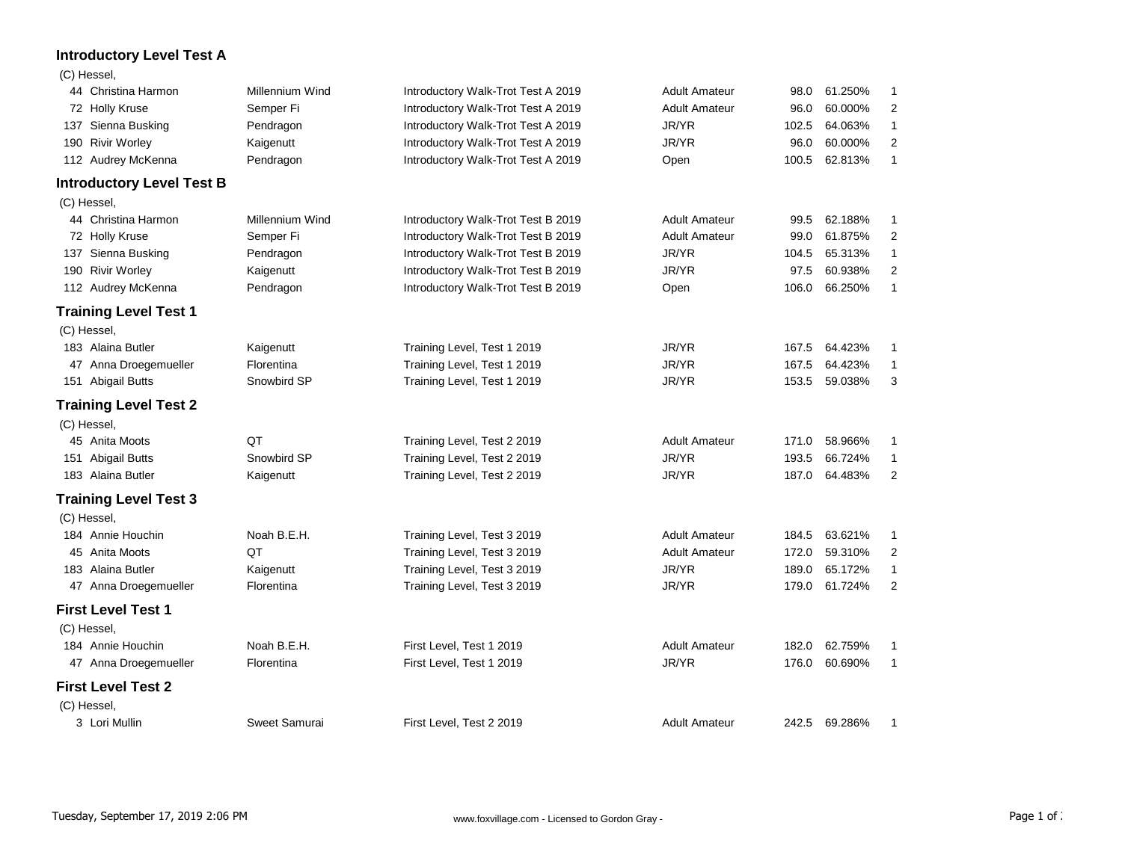## **Introductory Level Test A**

## (C) Hessel,

| 44 Christina Harmon              | Millennium Wind | Introductory Walk-Trot Test A 2019 | <b>Adult Amateur</b> | 98.0  | 61.250%       | 1              |
|----------------------------------|-----------------|------------------------------------|----------------------|-------|---------------|----------------|
| 72 Holly Kruse                   | Semper Fi       | Introductory Walk-Trot Test A 2019 | <b>Adult Amateur</b> | 96.0  | 60.000%       | 2              |
| 137 Sienna Busking               | Pendragon       | Introductory Walk-Trot Test A 2019 | JR/YR                | 102.5 | 64.063%       | $\mathbf{1}$   |
| 190 Rivir Worley                 | Kaigenutt       | Introductory Walk-Trot Test A 2019 | JR/YR                | 96.0  | 60.000%       | $\overline{c}$ |
| 112 Audrey McKenna               | Pendragon       | Introductory Walk-Trot Test A 2019 | Open                 | 100.5 | 62.813%       | $\mathbf{1}$   |
| <b>Introductory Level Test B</b> |                 |                                    |                      |       |               |                |
| (C) Hessel,                      |                 |                                    |                      |       |               |                |
| 44 Christina Harmon              | Millennium Wind | Introductory Walk-Trot Test B 2019 | <b>Adult Amateur</b> | 99.5  | 62.188%       | 1              |
| 72 Holly Kruse                   | Semper Fi       | Introductory Walk-Trot Test B 2019 | <b>Adult Amateur</b> | 99.0  | 61.875%       | $\overline{c}$ |
| 137 Sienna Busking               | Pendragon       | Introductory Walk-Trot Test B 2019 | JR/YR                | 104.5 | 65.313%       | $\mathbf{1}$   |
| 190 Rivir Worley                 | Kaigenutt       | Introductory Walk-Trot Test B 2019 | JR/YR                | 97.5  | 60.938%       | 2              |
| 112 Audrey McKenna               | Pendragon       | Introductory Walk-Trot Test B 2019 | Open                 | 106.0 | 66.250%       | $\mathbf{1}$   |
| <b>Training Level Test 1</b>     |                 |                                    |                      |       |               |                |
| (C) Hessel,                      |                 |                                    |                      |       |               |                |
| 183 Alaina Butler                | Kaigenutt       | Training Level, Test 1 2019        | JR/YR                | 167.5 | 64.423%       | 1              |
| 47 Anna Droegemueller            | Florentina      | Training Level, Test 1 2019        | JR/YR                | 167.5 | 64.423%       | $\mathbf{1}$   |
| 151 Abigail Butts                | Snowbird SP     | Training Level, Test 1 2019        | JR/YR                | 153.5 | 59.038%       | 3              |
| <b>Training Level Test 2</b>     |                 |                                    |                      |       |               |                |
| (C) Hessel,                      |                 |                                    |                      |       |               |                |
| 45 Anita Moots                   | QT              | Training Level, Test 2 2019        | <b>Adult Amateur</b> | 171.0 | 58.966%       | 1              |
| 151 Abigail Butts                | Snowbird SP     | Training Level, Test 2 2019        | JR/YR                | 193.5 | 66.724%       | 1              |
| 183 Alaina Butler                | Kaigenutt       | Training Level, Test 2 2019        | JR/YR                | 187.0 | 64.483%       | 2              |
| <b>Training Level Test 3</b>     |                 |                                    |                      |       |               |                |
| (C) Hessel,                      |                 |                                    |                      |       |               |                |
| 184 Annie Houchin                | Noah B.E.H.     | Training Level, Test 3 2019        | <b>Adult Amateur</b> | 184.5 | 63.621%       | 1              |
| 45 Anita Moots                   | QT              | Training Level, Test 3 2019        | <b>Adult Amateur</b> | 172.0 | 59.310%       | 2              |
| 183 Alaina Butler                | Kaigenutt       | Training Level, Test 3 2019        | JR/YR                | 189.0 | 65.172%       | $\mathbf{1}$   |
| 47 Anna Droegemueller            | Florentina      | Training Level, Test 3 2019        | JR/YR                | 179.0 | 61.724%       | $\overline{c}$ |
| <b>First Level Test 1</b>        |                 |                                    |                      |       |               |                |
| (C) Hessel,                      |                 |                                    |                      |       |               |                |
| 184 Annie Houchin                | Noah B.E.H.     | First Level, Test 1 2019           | <b>Adult Amateur</b> | 182.0 | 62.759%       | 1              |
| 47 Anna Droegemueller            | Florentina      | First Level, Test 1 2019           | JR/YR                | 176.0 | 60.690%       | $\mathbf{1}$   |
| <b>First Level Test 2</b>        |                 |                                    |                      |       |               |                |
| (C) Hessel,                      |                 |                                    |                      |       |               |                |
| 3 Lori Mullin                    | Sweet Samurai   | First Level. Test 2 2019           | <b>Adult Amateur</b> |       | 242.5 69.286% | 1              |